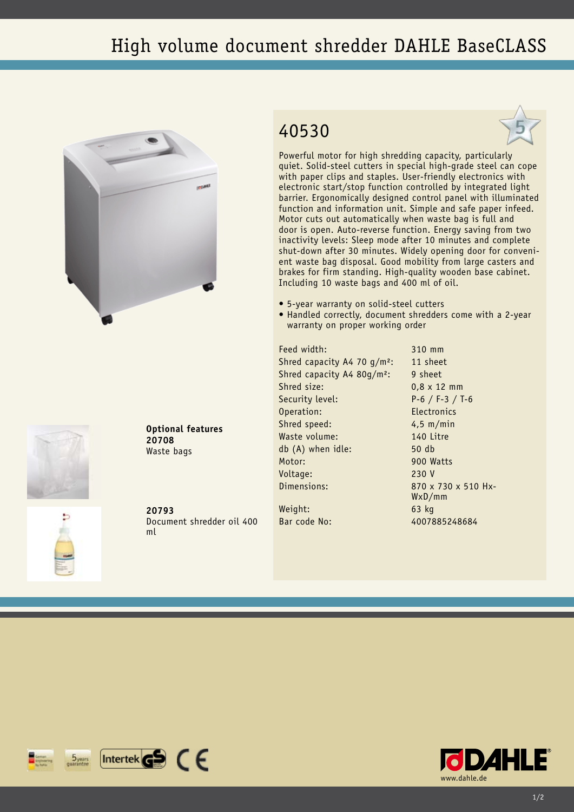## High volume document shredder DAHLE BaseCLASS







Powerful motor for high shredding capacity, particularly quiet. Solid-steel cutters in special high-grade steel can cope with paper clips and staples. User-friendly electronics with electronic start/stop function controlled by integrated light barrier. Ergonomically designed control panel with illuminated function and information unit. Simple and safe paper infeed. Motor cuts out automatically when waste bag is full and door is open. Auto-reverse function. Energy saving from two inactivity levels: Sleep mode after 10 minutes and complete shut-down after 30 minutes. Widely opening door for convenient waste bag disposal. Good mobility from large casters and brakes for firm standing. High-quality wooden base cabinet. Including 10 waste bags and 400 ml of oil.

- • 5-year warranty on solid-steel cutters
- Handled correctly, document shredders come with a 2-year warranty on proper working order

Feed width: 310 mm Shred capacity A4 70  $q/m^2$ : 11 sheet Shred capacity A4 80g/m<sup>2</sup>: 9 sheet Shred size: 0.8 x 12 mm Security level: P-6 / F-3 / T-6 Operation: Electronics Shred speed: 4,5 m/min Waste volume: 140 Litre db (A) when idle: 50 db Motor: 900 Watts Voltage: 230 V Dimensions: 870 x 730 x 510 Hx-Weight: 63 kg

WxD/mm Bar code No: 4007885248684



**20793** Document shredder oil 400 ml

**Optional features**

**20708** Waste bags